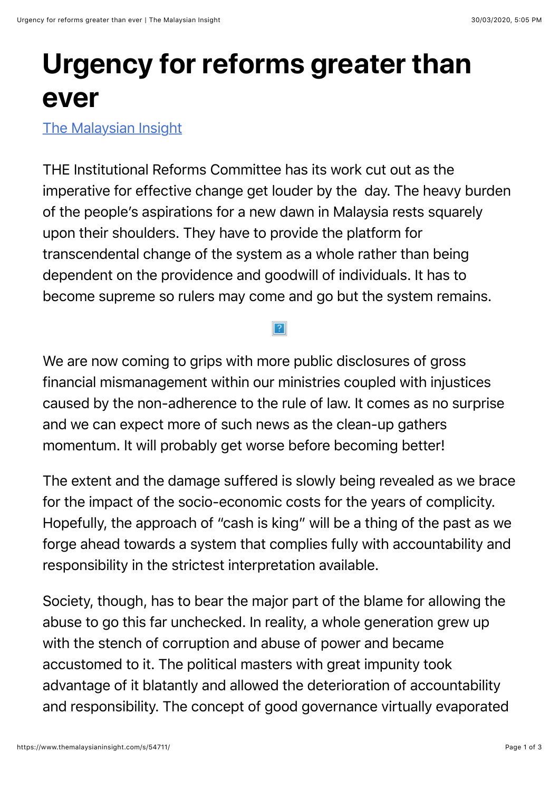## **Urgency for reforms greater than ever**

[The Malaysian Insight](https://www.themalaysianinsight.com/)

THE Institutional Reforms Committee has its work cut out as the imperative for effective change get louder by the day. The heavy burden of the people's aspirations for a new dawn in Malaysia rests squarely upon their shoulders. They have to provide the platform for transcendental change of the system as a whole rather than being dependent on the providence and goodwill of individuals. It has to become supreme so rulers may come and go but the system remains.

We are now coming to grips with more public disclosures of gross financial mismanagement within our ministries coupled with injustices caused by the non-adherence to the rule of law. It comes as no surprise and we can expect more of such news as the clean-up gathers momentum. It will probably get worse before becoming better!

The extent and the damage suffered is slowly being revealed as we brace for the impact of the socio-economic costs for the years of complicity. Hopefully, the approach of "cash is king" will be a thing of the past as we forge ahead towards a system that complies fully with accountability and responsibility in the strictest interpretation available.

Society, though, has to bear the major part of the blame for allowing the abuse to go this far unchecked. In reality, a whole generation grew up with the stench of corruption and abuse of power and became accustomed to it. The political masters with great impunity took advantage of it blatantly and allowed the deterioration of accountability and responsibility. The concept of good governance virtually evaporated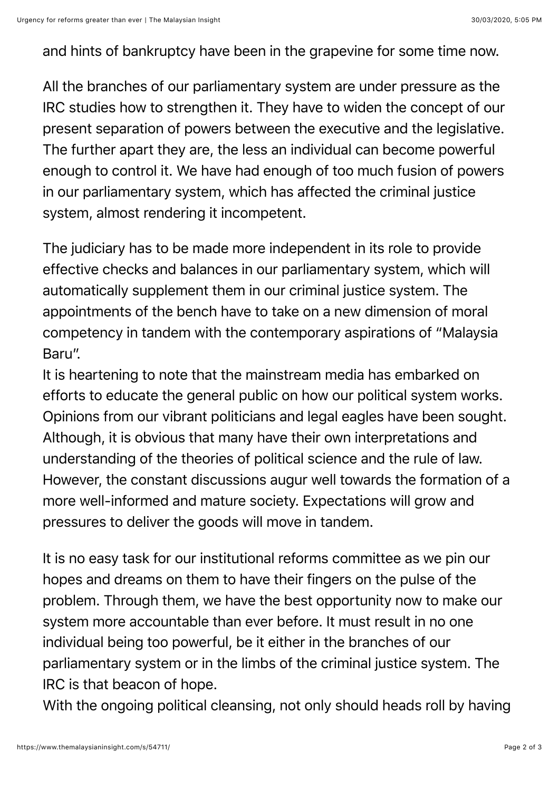and hints of bankruptcy have been in the grapevine for some time now.

All the branches of our parliamentary system are under pressure as the IRC studies how to strengthen it. They have to widen the concept of our present separation of powers between the executive and the legislative. The further apart they are, the less an individual can become powerful enough to control it. We have had enough of too much fusion of powers in our parliamentary system, which has affected the criminal justice system, almost rendering it incompetent.

The judiciary has to be made more independent in its role to provide effective checks and balances in our parliamentary system, which will automatically supplement them in our criminal justice system. The appointments of the bench have to take on a new dimension of moral competency in tandem with the contemporary aspirations of "Malaysia Baru".

It is heartening to note that the mainstream media has embarked on efforts to educate the general public on how our political system works. Opinions from our vibrant politicians and legal eagles have been sought. Although, it is obvious that many have their own interpretations and understanding of the theories of political science and the rule of law. However, the constant discussions augur well towards the formation of a more well-informed and mature society. Expectations will grow and pressures to deliver the goods will move in tandem.

It is no easy task for our institutional reforms committee as we pin our hopes and dreams on them to have their fingers on the pulse of the problem. Through them, we have the best opportunity now to make our system more accountable than ever before. It must result in no one individual being too powerful, be it either in the branches of our parliamentary system or in the limbs of the criminal justice system. The IRC is that beacon of hope.

With the ongoing political cleansing, not only should heads roll by having